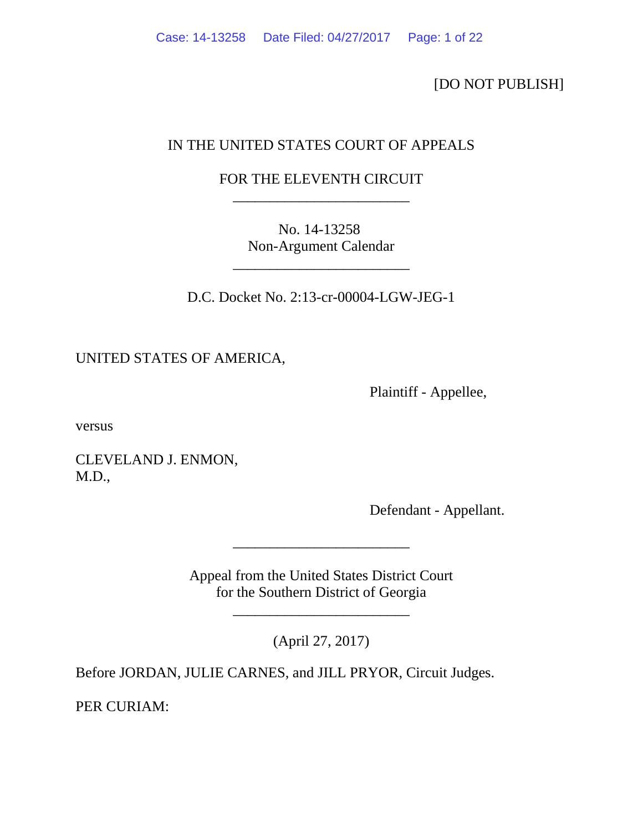[DO NOT PUBLISH]

# IN THE UNITED STATES COURT OF APPEALS

# FOR THE ELEVENTH CIRCUIT \_\_\_\_\_\_\_\_\_\_\_\_\_\_\_\_\_\_\_\_\_\_\_\_

No. 14-13258 Non-Argument Calendar

\_\_\_\_\_\_\_\_\_\_\_\_\_\_\_\_\_\_\_\_\_\_\_\_

D.C. Docket No. 2:13-cr-00004-LGW-JEG-1

UNITED STATES OF AMERICA,

Plaintiff - Appellee,

versus

CLEVELAND J. ENMON, M.D.,

Defendant - Appellant.

Appeal from the United States District Court for the Southern District of Georgia

\_\_\_\_\_\_\_\_\_\_\_\_\_\_\_\_\_\_\_\_\_\_\_\_

(April 27, 2017)

\_\_\_\_\_\_\_\_\_\_\_\_\_\_\_\_\_\_\_\_\_\_\_\_

Before JORDAN, JULIE CARNES, and JILL PRYOR, Circuit Judges.

PER CURIAM: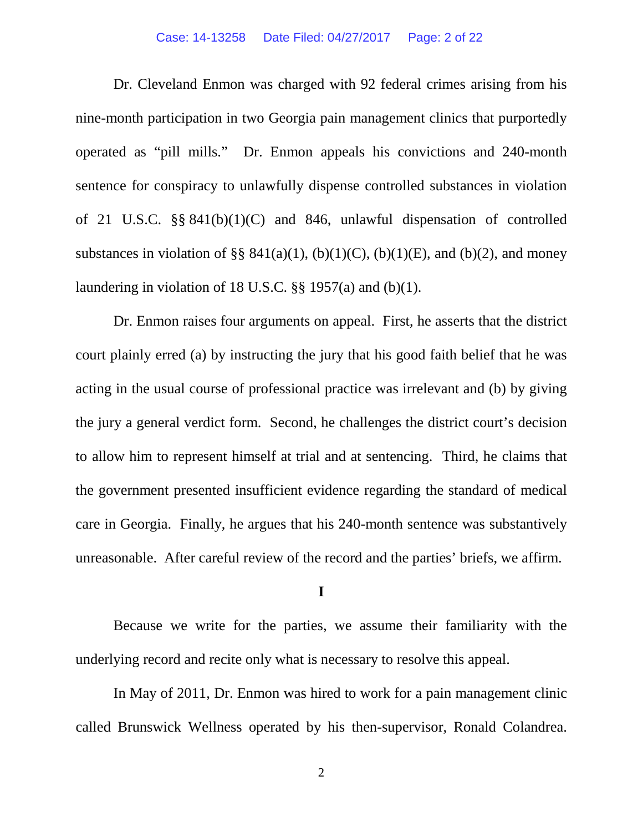#### Case: 14-13258 Date Filed: 04/27/2017 Page: 2 of 22

Dr. Cleveland Enmon was charged with 92 federal crimes arising from his nine-month participation in two Georgia pain management clinics that purportedly operated as "pill mills." Dr. Enmon appeals his convictions and 240-month sentence for conspiracy to unlawfully dispense controlled substances in violation of 21 U.S.C. §§ 841(b)(1)(C) and 846, unlawful dispensation of controlled substances in violation of §§  $841(a)(1)$ , (b)(1)(C), (b)(1)(E), and (b)(2), and money laundering in violation of 18 U.S.C. §§ 1957(a) and (b)(1).

Dr. Enmon raises four arguments on appeal. First, he asserts that the district court plainly erred (a) by instructing the jury that his good faith belief that he was acting in the usual course of professional practice was irrelevant and (b) by giving the jury a general verdict form. Second, he challenges the district court's decision to allow him to represent himself at trial and at sentencing. Third, he claims that the government presented insufficient evidence regarding the standard of medical care in Georgia. Finally, he argues that his 240-month sentence was substantively unreasonable. After careful review of the record and the parties' briefs, we affirm.

## **I**

Because we write for the parties, we assume their familiarity with the underlying record and recite only what is necessary to resolve this appeal.

In May of 2011, Dr. Enmon was hired to work for a pain management clinic called Brunswick Wellness operated by his then-supervisor, Ronald Colandrea.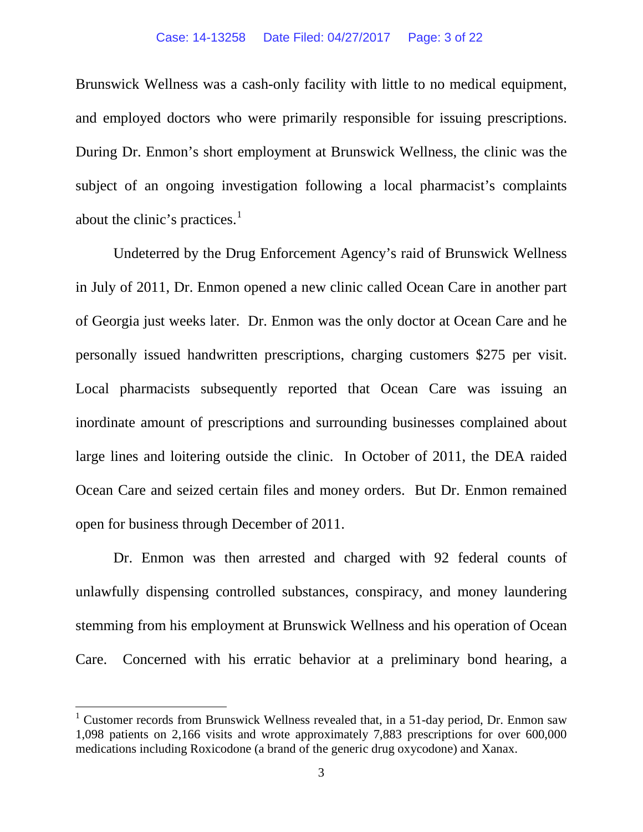Brunswick Wellness was a cash-only facility with little to no medical equipment, and employed doctors who were primarily responsible for issuing prescriptions. During Dr. Enmon's short employment at Brunswick Wellness, the clinic was the subject of an ongoing investigation following a local pharmacist's complaints about the clinic's practices. $<sup>1</sup>$  $<sup>1</sup>$  $<sup>1</sup>$ </sup>

Undeterred by the Drug Enforcement Agency's raid of Brunswick Wellness in July of 2011, Dr. Enmon opened a new clinic called Ocean Care in another part of Georgia just weeks later. Dr. Enmon was the only doctor at Ocean Care and he personally issued handwritten prescriptions, charging customers \$275 per visit. Local pharmacists subsequently reported that Ocean Care was issuing an inordinate amount of prescriptions and surrounding businesses complained about large lines and loitering outside the clinic. In October of 2011, the DEA raided Ocean Care and seized certain files and money orders. But Dr. Enmon remained open for business through December of 2011.

Dr. Enmon was then arrested and charged with 92 federal counts of unlawfully dispensing controlled substances, conspiracy, and money laundering stemming from his employment at Brunswick Wellness and his operation of Ocean Care. Concerned with his erratic behavior at a preliminary bond hearing, a

<span id="page-2-0"></span><sup>&</sup>lt;sup>1</sup> Customer records from Brunswick Wellness revealed that, in a 51-day period, Dr. Enmon saw 1,098 patients on 2,166 visits and wrote approximately 7,883 prescriptions for over 600,000 medications including Roxicodone (a brand of the generic drug oxycodone) and Xanax.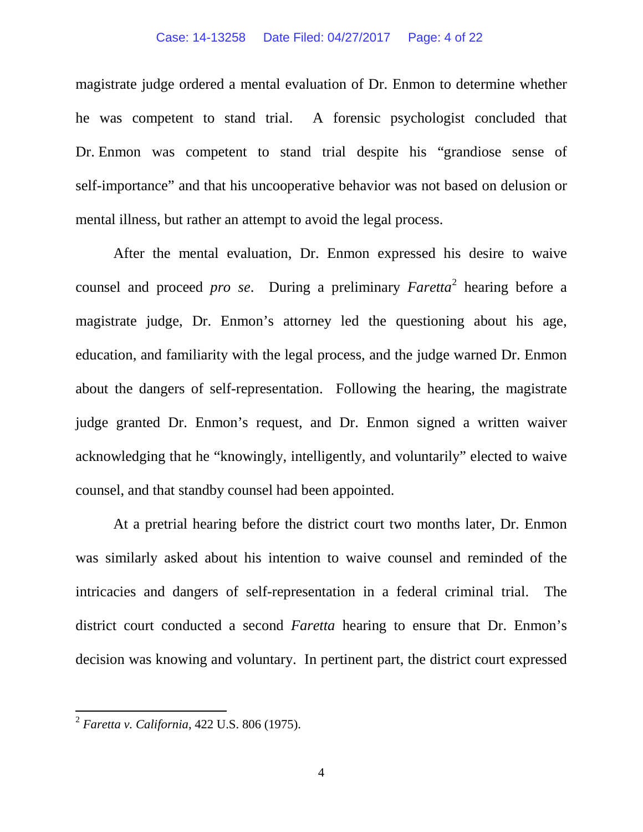#### Case: 14-13258 Date Filed: 04/27/2017 Page: 4 of 22

magistrate judge ordered a mental evaluation of Dr. Enmon to determine whether he was competent to stand trial. A forensic psychologist concluded that Dr. Enmon was competent to stand trial despite his "grandiose sense of self-importance" and that his uncooperative behavior was not based on delusion or mental illness, but rather an attempt to avoid the legal process.

After the mental evaluation, Dr. Enmon expressed his desire to waive counsel and proceed *pro se*. During a preliminary *Faretta*[2](#page-3-0) hearing before a magistrate judge, Dr. Enmon's attorney led the questioning about his age, education, and familiarity with the legal process, and the judge warned Dr. Enmon about the dangers of self-representation. Following the hearing, the magistrate judge granted Dr. Enmon's request, and Dr. Enmon signed a written waiver acknowledging that he "knowingly, intelligently, and voluntarily" elected to waive counsel, and that standby counsel had been appointed.

At a pretrial hearing before the district court two months later, Dr. Enmon was similarly asked about his intention to waive counsel and reminded of the intricacies and dangers of self-representation in a federal criminal trial. The district court conducted a second *Faretta* hearing to ensure that Dr. Enmon's decision was knowing and voluntary. In pertinent part, the district court expressed

<span id="page-3-0"></span> <sup>2</sup> *Faretta v. California*, 422 U.S. 806 (1975).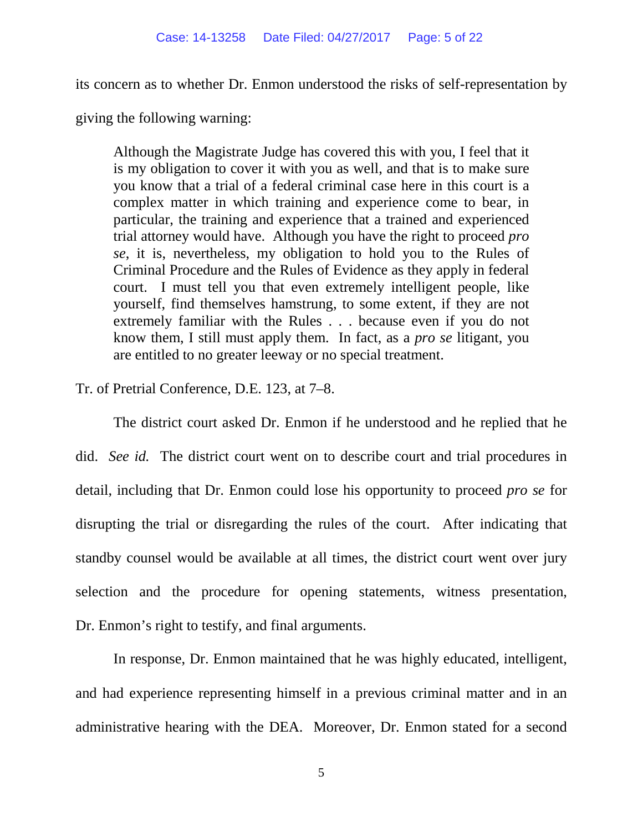its concern as to whether Dr. Enmon understood the risks of self-representation by

giving the following warning:

Although the Magistrate Judge has covered this with you, I feel that it is my obligation to cover it with you as well, and that is to make sure you know that a trial of a federal criminal case here in this court is a complex matter in which training and experience come to bear, in particular, the training and experience that a trained and experienced trial attorney would have. Although you have the right to proceed *pro se*, it is, nevertheless, my obligation to hold you to the Rules of Criminal Procedure and the Rules of Evidence as they apply in federal court. I must tell you that even extremely intelligent people, like yourself, find themselves hamstrung, to some extent, if they are not extremely familiar with the Rules . . . because even if you do not know them, I still must apply them. In fact, as a *pro se* litigant, you are entitled to no greater leeway or no special treatment.

Tr. of Pretrial Conference, D.E. 123, at 7–8.

The district court asked Dr. Enmon if he understood and he replied that he did. *See id.* The district court went on to describe court and trial procedures in detail, including that Dr. Enmon could lose his opportunity to proceed *pro se* for disrupting the trial or disregarding the rules of the court. After indicating that standby counsel would be available at all times, the district court went over jury selection and the procedure for opening statements, witness presentation, Dr. Enmon's right to testify, and final arguments.

In response, Dr. Enmon maintained that he was highly educated, intelligent, and had experience representing himself in a previous criminal matter and in an administrative hearing with the DEA. Moreover, Dr. Enmon stated for a second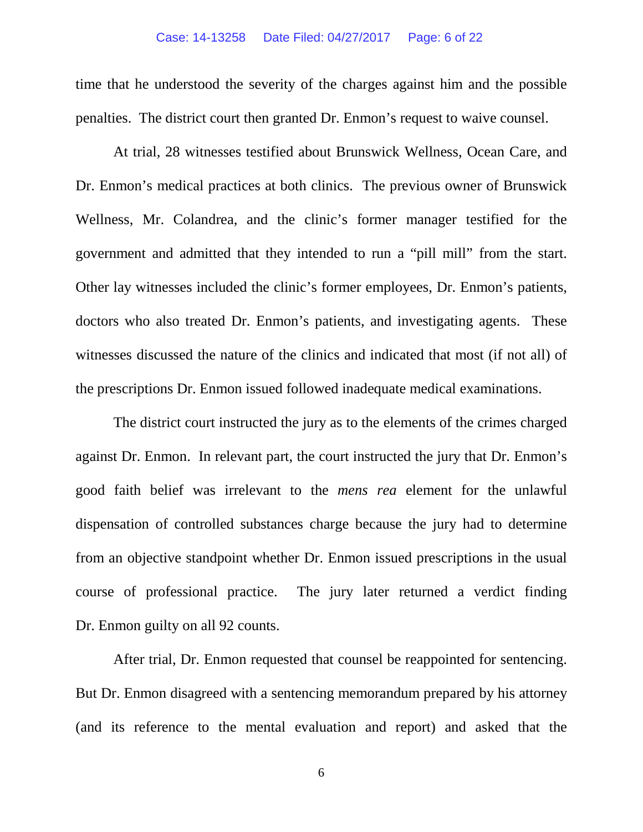time that he understood the severity of the charges against him and the possible penalties. The district court then granted Dr. Enmon's request to waive counsel.

At trial, 28 witnesses testified about Brunswick Wellness, Ocean Care, and Dr. Enmon's medical practices at both clinics. The previous owner of Brunswick Wellness, Mr. Colandrea, and the clinic's former manager testified for the government and admitted that they intended to run a "pill mill" from the start. Other lay witnesses included the clinic's former employees, Dr. Enmon's patients, doctors who also treated Dr. Enmon's patients, and investigating agents. These witnesses discussed the nature of the clinics and indicated that most (if not all) of the prescriptions Dr. Enmon issued followed inadequate medical examinations.

The district court instructed the jury as to the elements of the crimes charged against Dr. Enmon. In relevant part, the court instructed the jury that Dr. Enmon's good faith belief was irrelevant to the *mens rea* element for the unlawful dispensation of controlled substances charge because the jury had to determine from an objective standpoint whether Dr. Enmon issued prescriptions in the usual course of professional practice. The jury later returned a verdict finding Dr. Enmon guilty on all 92 counts.

After trial, Dr. Enmon requested that counsel be reappointed for sentencing. But Dr. Enmon disagreed with a sentencing memorandum prepared by his attorney (and its reference to the mental evaluation and report) and asked that the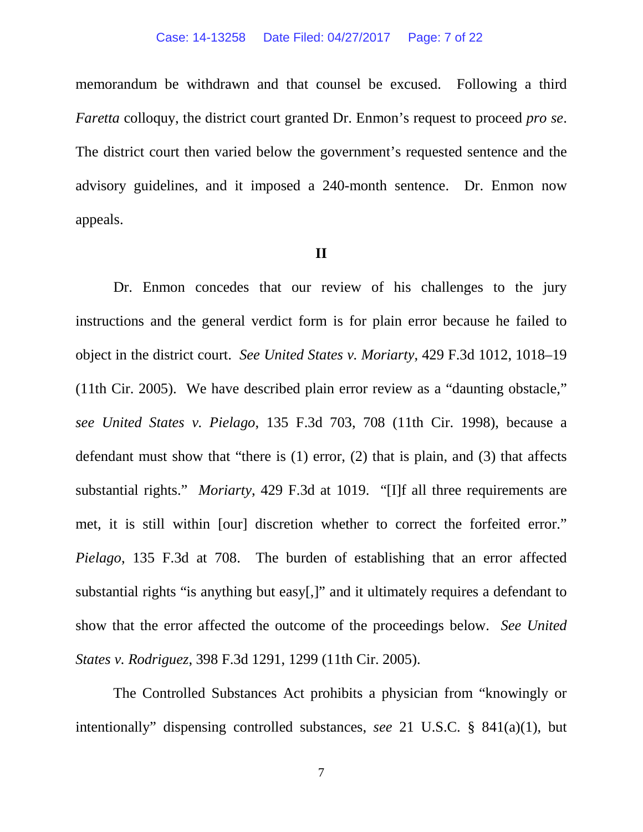memorandum be withdrawn and that counsel be excused. Following a third *Faretta* colloquy, the district court granted Dr. Enmon's request to proceed *pro se*. The district court then varied below the government's requested sentence and the advisory guidelines, and it imposed a 240-month sentence. Dr. Enmon now appeals.

### **II**

Dr. Enmon concedes that our review of his challenges to the jury instructions and the general verdict form is for plain error because he failed to object in the district court. *See United States v. Moriarty*, 429 F.3d 1012, 1018–19 (11th Cir. 2005). We have described plain error review as a "daunting obstacle," *see United States v. Pielago*, 135 F.3d 703, 708 (11th Cir. 1998), because a defendant must show that "there is (1) error, (2) that is plain, and (3) that affects substantial rights." *Moriarty*, 429 F.3d at 1019. "[I]f all three requirements are met, it is still within [our] discretion whether to correct the forfeited error." *Pielago*, 135 F.3d at 708. The burden of establishing that an error affected substantial rights "is anything but easy[,]" and it ultimately requires a defendant to show that the error affected the outcome of the proceedings below. *See United States v. Rodriguez*, 398 F.3d 1291, 1299 (11th Cir. 2005).

The Controlled Substances Act prohibits a physician from "knowingly or intentionally" dispensing controlled substances, *see* 21 U.S.C. § 841(a)(1), but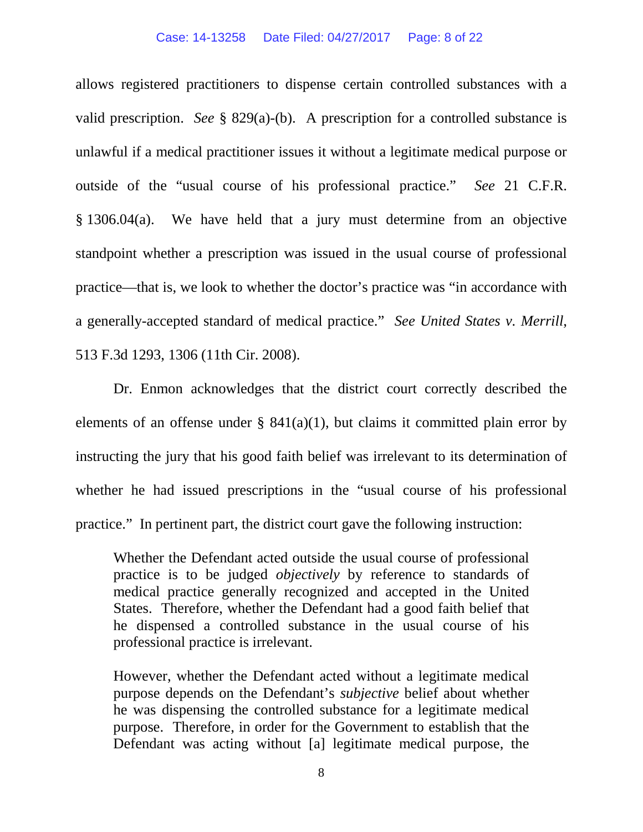allows registered practitioners to dispense certain controlled substances with a valid prescription. *See* § 829(a)-(b). A prescription for a controlled substance is unlawful if a medical practitioner issues it without a legitimate medical purpose or outside of the "usual course of his professional practice." *See* 21 C.F.R. § 1306.04(a). We have held that a jury must determine from an objective standpoint whether a prescription was issued in the usual course of professional practice—that is, we look to whether the doctor's practice was "in accordance with a generally-accepted standard of medical practice." *See United States v. Merrill*, 513 F.3d 1293, 1306 (11th Cir. 2008).

Dr. Enmon acknowledges that the district court correctly described the elements of an offense under §  $841(a)(1)$ , but claims it committed plain error by instructing the jury that his good faith belief was irrelevant to its determination of whether he had issued prescriptions in the "usual course of his professional practice." In pertinent part, the district court gave the following instruction:

Whether the Defendant acted outside the usual course of professional practice is to be judged *objectively* by reference to standards of medical practice generally recognized and accepted in the United States. Therefore, whether the Defendant had a good faith belief that he dispensed a controlled substance in the usual course of his professional practice is irrelevant.

However, whether the Defendant acted without a legitimate medical purpose depends on the Defendant's *subjective* belief about whether he was dispensing the controlled substance for a legitimate medical purpose. Therefore, in order for the Government to establish that the Defendant was acting without [a] legitimate medical purpose, the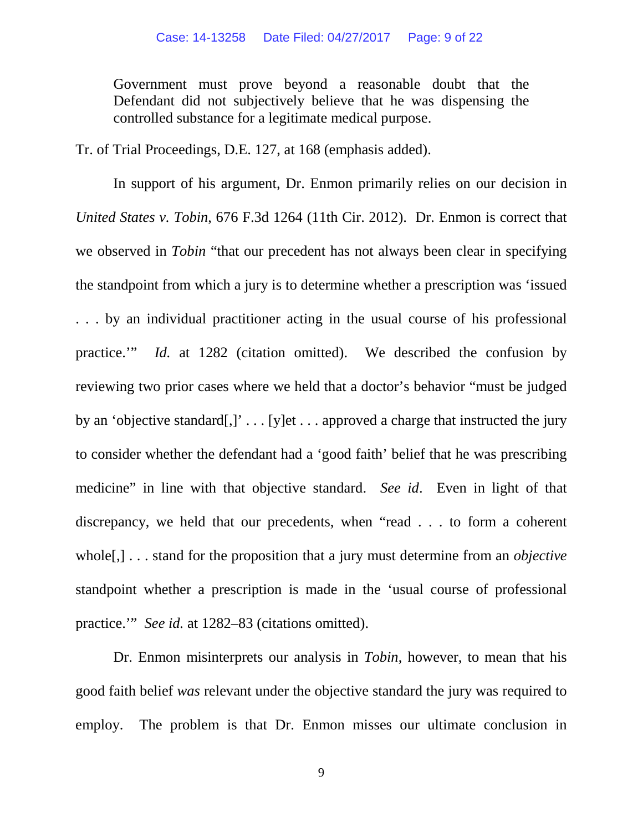Government must prove beyond a reasonable doubt that the Defendant did not subjectively believe that he was dispensing the controlled substance for a legitimate medical purpose.

Tr. of Trial Proceedings, D.E. 127, at 168 (emphasis added).

In support of his argument, Dr. Enmon primarily relies on our decision in *United States v. Tobin*, 676 F.3d 1264 (11th Cir. 2012). Dr. Enmon is correct that we observed in *Tobin* "that our precedent has not always been clear in specifying the standpoint from which a jury is to determine whether a prescription was 'issued . . . by an individual practitioner acting in the usual course of his professional practice.'" *Id.* at 1282 (citation omitted). We described the confusion by reviewing two prior cases where we held that a doctor's behavior "must be judged by an 'objective standard[,]' . . . [y]et . . . approved a charge that instructed the jury to consider whether the defendant had a 'good faith' belief that he was prescribing medicine" in line with that objective standard. *See id*. Even in light of that discrepancy, we held that our precedents, when "read . . . to form a coherent whole[,] . . . stand for the proposition that a jury must determine from an *objective* standpoint whether a prescription is made in the 'usual course of professional practice.'" *See id.* at 1282–83 (citations omitted).

Dr. Enmon misinterprets our analysis in *Tobin*, however, to mean that his good faith belief *was* relevant under the objective standard the jury was required to employ. The problem is that Dr. Enmon misses our ultimate conclusion in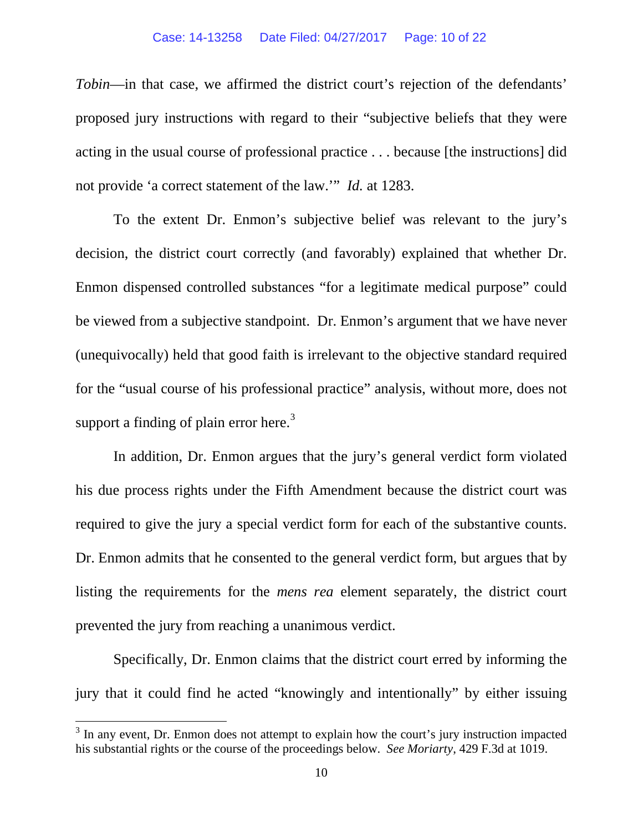*Tobin*—in that case, we affirmed the district court's rejection of the defendants' proposed jury instructions with regard to their "subjective beliefs that they were acting in the usual course of professional practice . . . because [the instructions] did not provide 'a correct statement of the law.'" *Id.* at 1283.

To the extent Dr. Enmon's subjective belief was relevant to the jury's decision, the district court correctly (and favorably) explained that whether Dr. Enmon dispensed controlled substances "for a legitimate medical purpose" could be viewed from a subjective standpoint. Dr. Enmon's argument that we have never (unequivocally) held that good faith is irrelevant to the objective standard required for the "usual course of his professional practice" analysis, without more, does not support a finding of plain error here.<sup>[3](#page-9-0)</sup>

In addition, Dr. Enmon argues that the jury's general verdict form violated his due process rights under the Fifth Amendment because the district court was required to give the jury a special verdict form for each of the substantive counts. Dr. Enmon admits that he consented to the general verdict form, but argues that by listing the requirements for the *mens rea* element separately, the district court prevented the jury from reaching a unanimous verdict.

Specifically, Dr. Enmon claims that the district court erred by informing the jury that it could find he acted "knowingly and intentionally" by either issuing

<span id="page-9-0"></span><sup>&</sup>lt;sup>3</sup> In any event, Dr. Enmon does not attempt to explain how the court's jury instruction impacted his substantial rights or the course of the proceedings below. *See Moriarty*, 429 F.3d at 1019.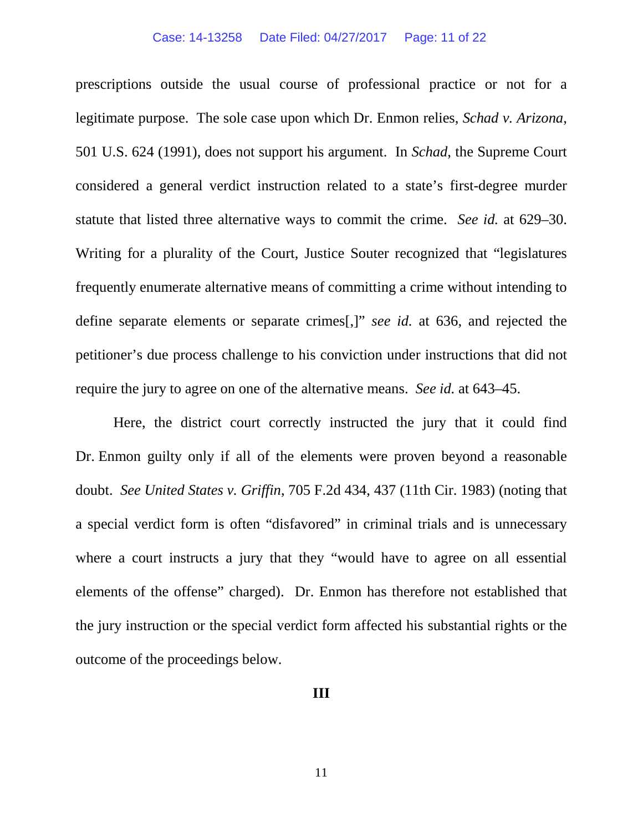#### Case: 14-13258 Date Filed: 04/27/2017 Page: 11 of 22

prescriptions outside the usual course of professional practice or not for a legitimate purpose. The sole case upon which Dr. Enmon relies, *Schad v. Arizona*, 501 U.S. 624 (1991), does not support his argument. In *Schad*, the Supreme Court considered a general verdict instruction related to a state's first-degree murder statute that listed three alternative ways to commit the crime. *See id.* at 629–30. Writing for a plurality of the Court, Justice Souter recognized that "legislatures frequently enumerate alternative means of committing a crime without intending to define separate elements or separate crimes[,]" *see id.* at 636, and rejected the petitioner's due process challenge to his conviction under instructions that did not require the jury to agree on one of the alternative means. *See id.* at 643–45.

Here, the district court correctly instructed the jury that it could find Dr. Enmon guilty only if all of the elements were proven beyond a reasonable doubt. *See United States v. Griffin*, 705 F.2d 434, 437 (11th Cir. 1983) (noting that a special verdict form is often "disfavored" in criminal trials and is unnecessary where a court instructs a jury that they "would have to agree on all essential elements of the offense" charged). Dr. Enmon has therefore not established that the jury instruction or the special verdict form affected his substantial rights or the outcome of the proceedings below.

#### **III**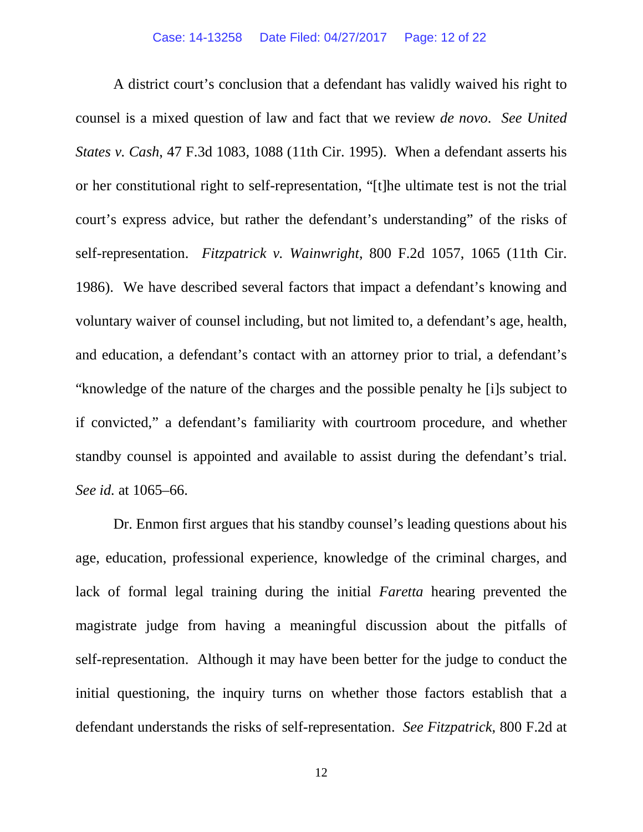A district court's conclusion that a defendant has validly waived his right to counsel is a mixed question of law and fact that we review *de novo*. *See United States v. Cash*, 47 F.3d 1083, 1088 (11th Cir. 1995). When a defendant asserts his or her constitutional right to self-representation, "[t]he ultimate test is not the trial court's express advice, but rather the defendant's understanding" of the risks of self-representation. *Fitzpatrick v. Wainwright*, 800 F.2d 1057, 1065 (11th Cir. 1986). We have described several factors that impact a defendant's knowing and voluntary waiver of counsel including, but not limited to, a defendant's age, health, and education, a defendant's contact with an attorney prior to trial, a defendant's "knowledge of the nature of the charges and the possible penalty he [i]s subject to if convicted," a defendant's familiarity with courtroom procedure, and whether standby counsel is appointed and available to assist during the defendant's trial. *See id.* at 1065–66.

Dr. Enmon first argues that his standby counsel's leading questions about his age, education, professional experience, knowledge of the criminal charges, and lack of formal legal training during the initial *Faretta* hearing prevented the magistrate judge from having a meaningful discussion about the pitfalls of self-representation. Although it may have been better for the judge to conduct the initial questioning, the inquiry turns on whether those factors establish that a defendant understands the risks of self-representation. *See Fitzpatrick*, 800 F.2d at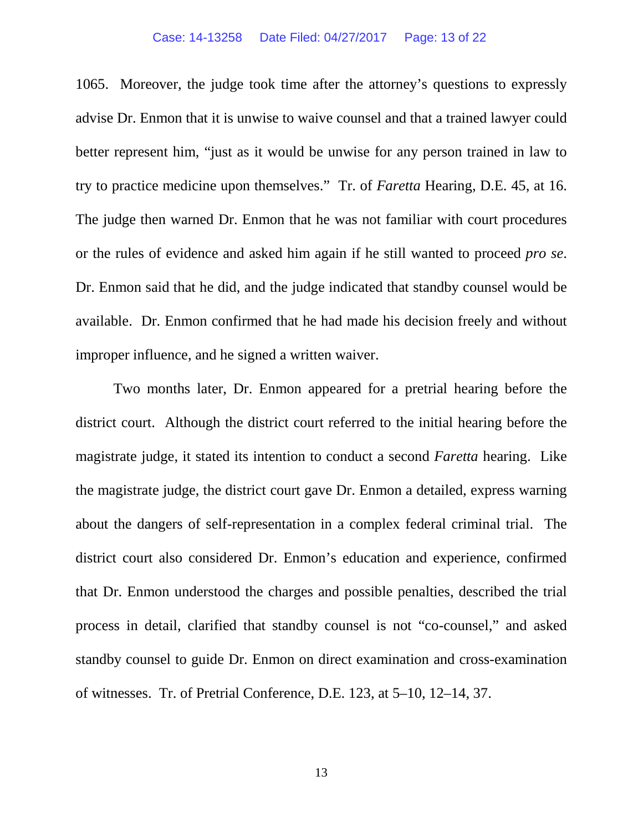#### Case: 14-13258 Date Filed: 04/27/2017 Page: 13 of 22

1065. Moreover, the judge took time after the attorney's questions to expressly advise Dr. Enmon that it is unwise to waive counsel and that a trained lawyer could better represent him, "just as it would be unwise for any person trained in law to try to practice medicine upon themselves." Tr. of *Faretta* Hearing, D.E. 45, at 16. The judge then warned Dr. Enmon that he was not familiar with court procedures or the rules of evidence and asked him again if he still wanted to proceed *pro se*. Dr. Enmon said that he did, and the judge indicated that standby counsel would be available. Dr. Enmon confirmed that he had made his decision freely and without improper influence, and he signed a written waiver.

Two months later, Dr. Enmon appeared for a pretrial hearing before the district court. Although the district court referred to the initial hearing before the magistrate judge, it stated its intention to conduct a second *Faretta* hearing. Like the magistrate judge, the district court gave Dr. Enmon a detailed, express warning about the dangers of self-representation in a complex federal criminal trial. The district court also considered Dr. Enmon's education and experience, confirmed that Dr. Enmon understood the charges and possible penalties, described the trial process in detail, clarified that standby counsel is not "co-counsel," and asked standby counsel to guide Dr. Enmon on direct examination and cross-examination of witnesses. Tr. of Pretrial Conference, D.E. 123, at 5–10, 12–14, 37.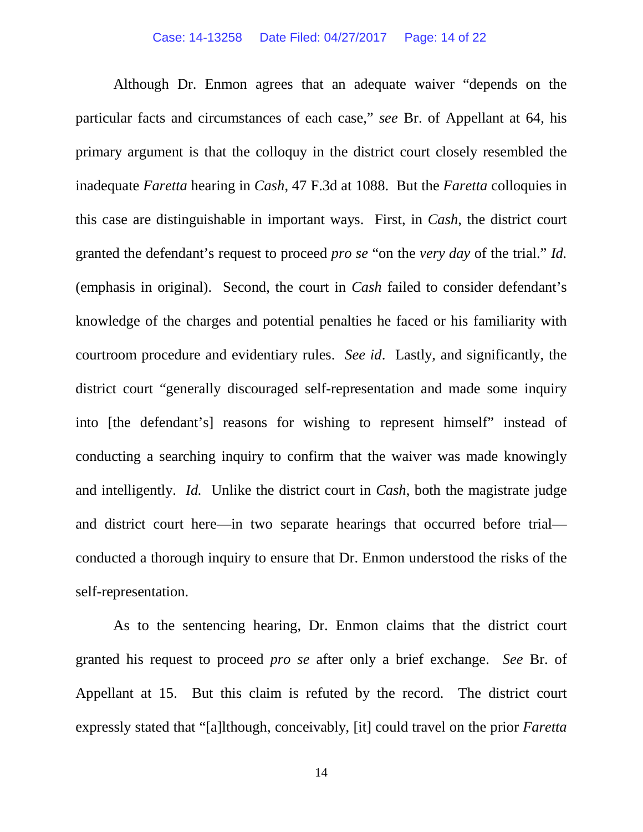#### Case: 14-13258 Date Filed: 04/27/2017 Page: 14 of 22

Although Dr. Enmon agrees that an adequate waiver "depends on the particular facts and circumstances of each case," *see* Br. of Appellant at 64, his primary argument is that the colloquy in the district court closely resembled the inadequate *Faretta* hearing in *Cash*, 47 F.3d at 1088. But the *Faretta* colloquies in this case are distinguishable in important ways. First, in *Cash*, the district court granted the defendant's request to proceed *pro se* "on the *very day* of the trial." *Id.* (emphasis in original). Second, the court in *Cash* failed to consider defendant's knowledge of the charges and potential penalties he faced or his familiarity with courtroom procedure and evidentiary rules. *See id*. Lastly, and significantly, the district court "generally discouraged self-representation and made some inquiry into [the defendant's] reasons for wishing to represent himself" instead of conducting a searching inquiry to confirm that the waiver was made knowingly and intelligently. *Id.* Unlike the district court in *Cash*, both the magistrate judge and district court here—in two separate hearings that occurred before trial conducted a thorough inquiry to ensure that Dr. Enmon understood the risks of the self-representation.

As to the sentencing hearing, Dr. Enmon claims that the district court granted his request to proceed *pro se* after only a brief exchange. *See* Br. of Appellant at 15. But this claim is refuted by the record. The district court expressly stated that "[a]lthough, conceivably, [it] could travel on the prior *Faretta*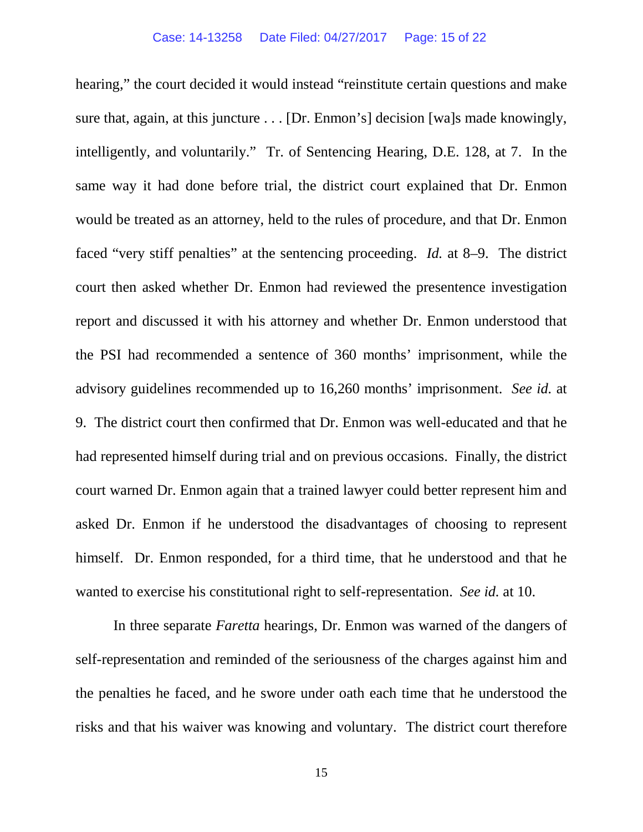hearing," the court decided it would instead "reinstitute certain questions and make sure that, again, at this juncture . . . [Dr. Enmon's] decision [wa]s made knowingly, intelligently, and voluntarily." Tr. of Sentencing Hearing, D.E. 128, at 7. In the same way it had done before trial, the district court explained that Dr. Enmon would be treated as an attorney, held to the rules of procedure, and that Dr. Enmon faced "very stiff penalties" at the sentencing proceeding. *Id.* at 8–9. The district court then asked whether Dr. Enmon had reviewed the presentence investigation report and discussed it with his attorney and whether Dr. Enmon understood that the PSI had recommended a sentence of 360 months' imprisonment, while the advisory guidelines recommended up to 16,260 months' imprisonment. *See id.* at 9. The district court then confirmed that Dr. Enmon was well-educated and that he had represented himself during trial and on previous occasions. Finally, the district court warned Dr. Enmon again that a trained lawyer could better represent him and asked Dr. Enmon if he understood the disadvantages of choosing to represent himself. Dr. Enmon responded, for a third time, that he understood and that he wanted to exercise his constitutional right to self-representation. *See id.* at 10.

In three separate *Faretta* hearings, Dr. Enmon was warned of the dangers of self-representation and reminded of the seriousness of the charges against him and the penalties he faced, and he swore under oath each time that he understood the risks and that his waiver was knowing and voluntary. The district court therefore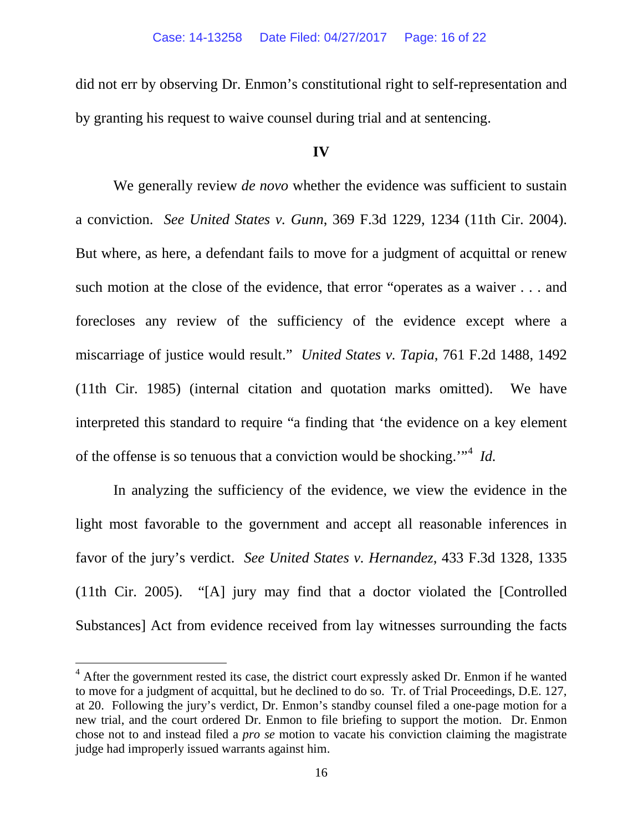did not err by observing Dr. Enmon's constitutional right to self-representation and by granting his request to waive counsel during trial and at sentencing.

### **IV**

We generally review *de novo* whether the evidence was sufficient to sustain a conviction. *See United States v. Gunn*, 369 F.3d 1229, 1234 (11th Cir. 2004). But where, as here, a defendant fails to move for a judgment of acquittal or renew such motion at the close of the evidence, that error "operates as a waiver . . . and forecloses any review of the sufficiency of the evidence except where a miscarriage of justice would result." *United States v. Tapia*, 761 F.2d 1488, 1492 (11th Cir. 1985) (internal citation and quotation marks omitted). We have interpreted this standard to require "a finding that 'the evidence on a key element of the offense is so tenuous that a conviction would be shocking.'"[4](#page-15-0) *Id.*

In analyzing the sufficiency of the evidence, we view the evidence in the light most favorable to the government and accept all reasonable inferences in favor of the jury's verdict. *See United States v. Hernandez*, 433 F.3d 1328, 1335 (11th Cir. 2005). "[A] jury may find that a doctor violated the [Controlled Substances] Act from evidence received from lay witnesses surrounding the facts

<span id="page-15-0"></span> $4$  After the government rested its case, the district court expressly asked Dr. Enmon if he wanted to move for a judgment of acquittal, but he declined to do so. Tr. of Trial Proceedings, D.E. 127, at 20. Following the jury's verdict, Dr. Enmon's standby counsel filed a one-page motion for a new trial, and the court ordered Dr. Enmon to file briefing to support the motion. Dr. Enmon chose not to and instead filed a *pro se* motion to vacate his conviction claiming the magistrate judge had improperly issued warrants against him.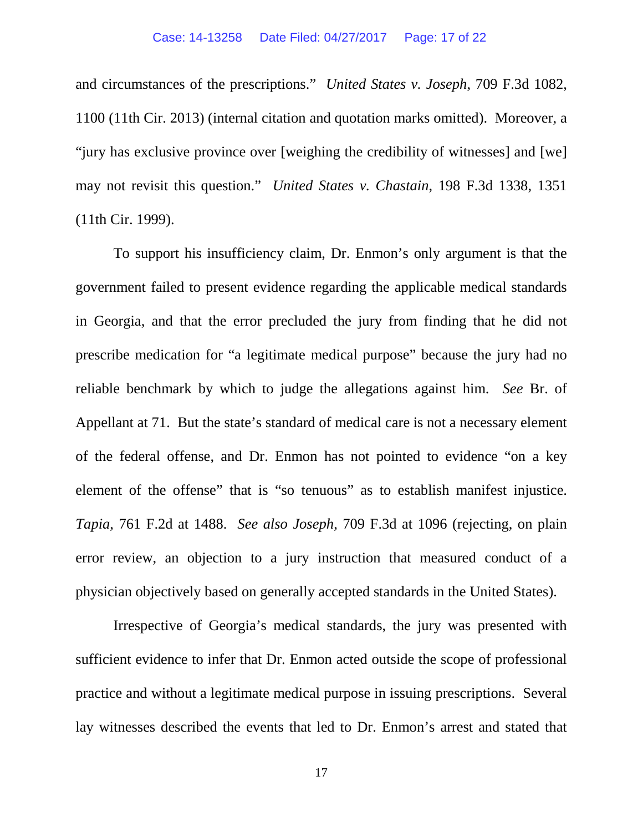#### Case: 14-13258 Date Filed: 04/27/2017 Page: 17 of 22

and circumstances of the prescriptions." *United States v. Joseph*, 709 F.3d 1082, 1100 (11th Cir. 2013) (internal citation and quotation marks omitted). Moreover, a "jury has exclusive province over [weighing the credibility of witnesses] and [we] may not revisit this question." *United States v. Chastain*, 198 F.3d 1338, 1351 (11th Cir. 1999).

To support his insufficiency claim, Dr. Enmon's only argument is that the government failed to present evidence regarding the applicable medical standards in Georgia, and that the error precluded the jury from finding that he did not prescribe medication for "a legitimate medical purpose" because the jury had no reliable benchmark by which to judge the allegations against him. *See* Br. of Appellant at 71. But the state's standard of medical care is not a necessary element of the federal offense, and Dr. Enmon has not pointed to evidence "on a key element of the offense" that is "so tenuous" as to establish manifest injustice. *Tapia*, 761 F.2d at 1488. *See also Joseph*, 709 F.3d at 1096 (rejecting, on plain error review, an objection to a jury instruction that measured conduct of a physician objectively based on generally accepted standards in the United States).

Irrespective of Georgia's medical standards, the jury was presented with sufficient evidence to infer that Dr. Enmon acted outside the scope of professional practice and without a legitimate medical purpose in issuing prescriptions. Several lay witnesses described the events that led to Dr. Enmon's arrest and stated that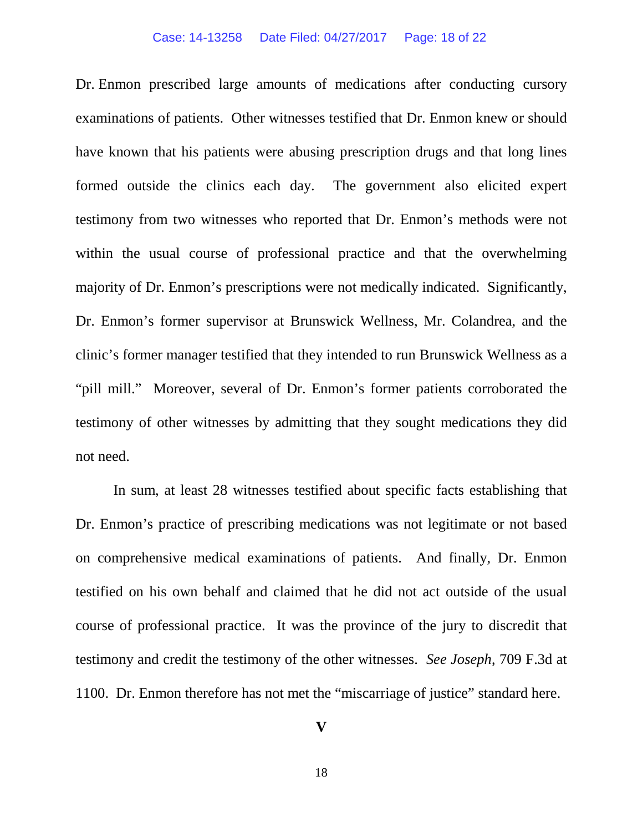#### Case: 14-13258 Date Filed: 04/27/2017 Page: 18 of 22

Dr. Enmon prescribed large amounts of medications after conducting cursory examinations of patients. Other witnesses testified that Dr. Enmon knew or should have known that his patients were abusing prescription drugs and that long lines formed outside the clinics each day. The government also elicited expert testimony from two witnesses who reported that Dr. Enmon's methods were not within the usual course of professional practice and that the overwhelming majority of Dr. Enmon's prescriptions were not medically indicated. Significantly, Dr. Enmon's former supervisor at Brunswick Wellness, Mr. Colandrea, and the clinic's former manager testified that they intended to run Brunswick Wellness as a "pill mill." Moreover, several of Dr. Enmon's former patients corroborated the testimony of other witnesses by admitting that they sought medications they did not need.

In sum, at least 28 witnesses testified about specific facts establishing that Dr. Enmon's practice of prescribing medications was not legitimate or not based on comprehensive medical examinations of patients. And finally, Dr. Enmon testified on his own behalf and claimed that he did not act outside of the usual course of professional practice. It was the province of the jury to discredit that testimony and credit the testimony of the other witnesses. *See Joseph*, 709 F.3d at 1100. Dr. Enmon therefore has not met the "miscarriage of justice" standard here.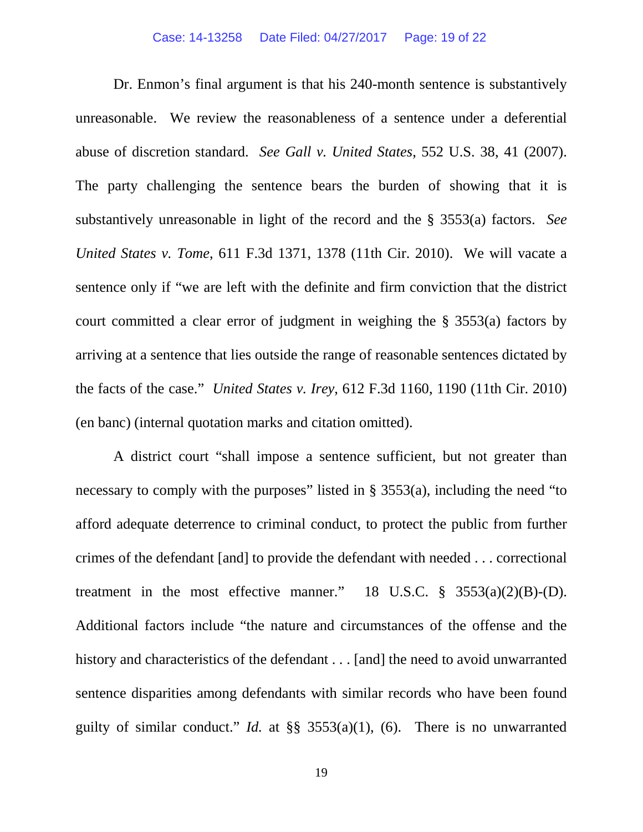Dr. Enmon's final argument is that his 240-month sentence is substantively unreasonable. We review the reasonableness of a sentence under a deferential abuse of discretion standard. *See Gall v. United States*, 552 U.S. 38, 41 (2007). The party challenging the sentence bears the burden of showing that it is substantively unreasonable in light of the record and the § 3553(a) factors. *See United States v. Tome*, 611 F.3d 1371, 1378 (11th Cir. 2010). We will vacate a sentence only if "we are left with the definite and firm conviction that the district court committed a clear error of judgment in weighing the § 3553(a) factors by arriving at a sentence that lies outside the range of reasonable sentences dictated by the facts of the case." *United States v. Irey*, 612 F.3d 1160, 1190 (11th Cir. 2010) (en banc) (internal quotation marks and citation omitted).

A district court "shall impose a sentence sufficient, but not greater than necessary to comply with the purposes" listed in  $\S$  3553(a), including the need "to afford adequate deterrence to criminal conduct, to protect the public from further crimes of the defendant [and] to provide the defendant with needed . . . correctional treatment in the most effective manner." 18 U.S.C.  $\S$  3553(a)(2)(B)-(D). Additional factors include "the nature and circumstances of the offense and the history and characteristics of the defendant . . . [and] the need to avoid unwarranted sentence disparities among defendants with similar records who have been found guilty of similar conduct." *Id.* at §§ 3553(a)(1), (6). There is no unwarranted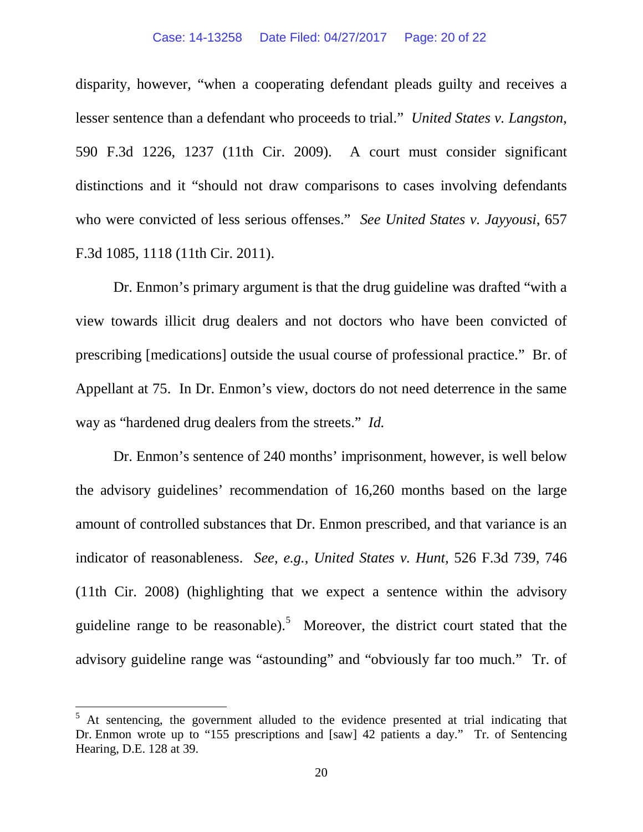disparity, however, "when a cooperating defendant pleads guilty and receives a lesser sentence than a defendant who proceeds to trial." *United States v. Langston*, 590 F.3d 1226, 1237 (11th Cir. 2009). A court must consider significant distinctions and it "should not draw comparisons to cases involving defendants who were convicted of less serious offenses." *See United States v. Jayyousi*, 657 F.3d 1085, 1118 (11th Cir. 2011).

Dr. Enmon's primary argument is that the drug guideline was drafted "with a view towards illicit drug dealers and not doctors who have been convicted of prescribing [medications] outside the usual course of professional practice." Br. of Appellant at 75. In Dr. Enmon's view, doctors do not need deterrence in the same way as "hardened drug dealers from the streets." *Id.*

Dr. Enmon's sentence of 240 months' imprisonment, however, is well below the advisory guidelines' recommendation of 16,260 months based on the large amount of controlled substances that Dr. Enmon prescribed, and that variance is an indicator of reasonableness. *See, e.g.*, *United States v. Hunt*, 526 F.3d 739, 746 (11th Cir. 2008) (highlighting that we expect a sentence within the advisory guideline range to be reasonable).<sup>[5](#page-19-0)</sup> Moreover, the district court stated that the advisory guideline range was "astounding" and "obviously far too much." Tr. of

<span id="page-19-0"></span> $5$  At sentencing, the government alluded to the evidence presented at trial indicating that Dr. Enmon wrote up to "155 prescriptions and [saw] 42 patients a day." Tr. of Sentencing Hearing, D.E. 128 at 39.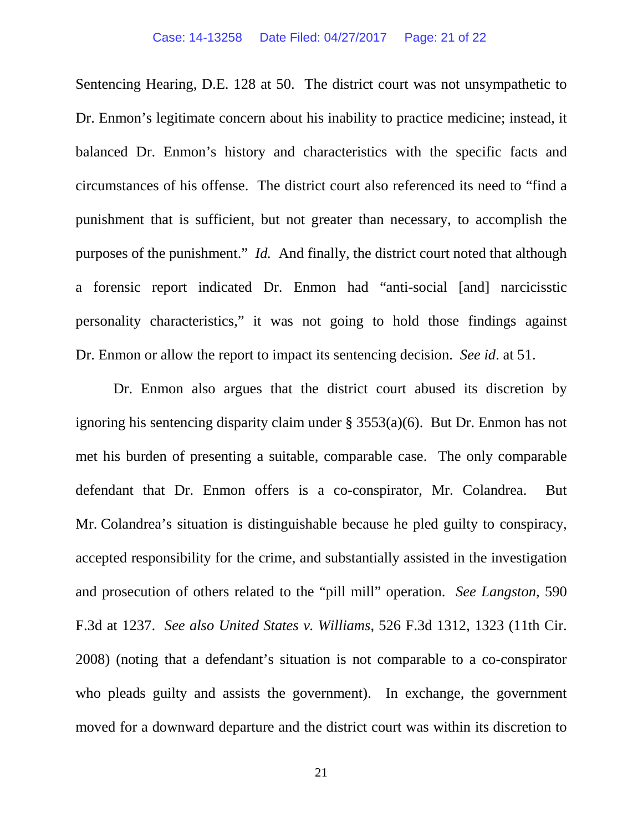Sentencing Hearing, D.E. 128 at 50. The district court was not unsympathetic to Dr. Enmon's legitimate concern about his inability to practice medicine; instead, it balanced Dr. Enmon's history and characteristics with the specific facts and circumstances of his offense. The district court also referenced its need to "find a punishment that is sufficient, but not greater than necessary, to accomplish the purposes of the punishment." *Id.* And finally, the district court noted that although a forensic report indicated Dr. Enmon had "anti-social [and] narcicisstic personality characteristics," it was not going to hold those findings against Dr. Enmon or allow the report to impact its sentencing decision. *See id*. at 51.

Dr. Enmon also argues that the district court abused its discretion by ignoring his sentencing disparity claim under § 3553(a)(6). But Dr. Enmon has not met his burden of presenting a suitable, comparable case. The only comparable defendant that Dr. Enmon offers is a co-conspirator, Mr. Colandrea. But Mr. Colandrea's situation is distinguishable because he pled guilty to conspiracy, accepted responsibility for the crime, and substantially assisted in the investigation and prosecution of others related to the "pill mill" operation. *See Langston*, 590 F.3d at 1237. *See also United States v. Williams*, 526 F.3d 1312, 1323 (11th Cir. 2008) (noting that a defendant's situation is not comparable to a co-conspirator who pleads guilty and assists the government). In exchange, the government moved for a downward departure and the district court was within its discretion to